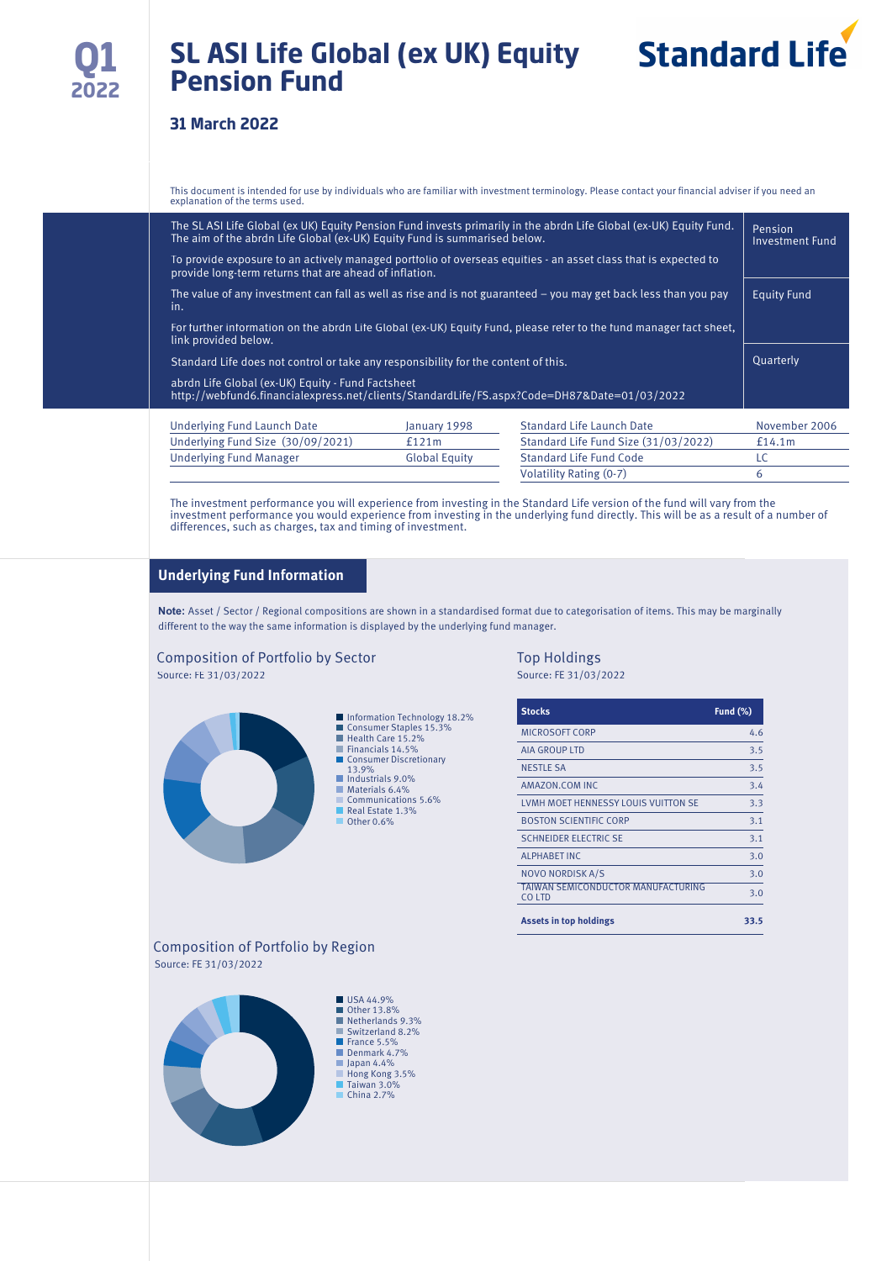# **SL ASI Life Global (ex UK) Equity Pension Fund**

### **31 March 2022**

This document is intended for use by individuals who are familiar with investment terminology. Please contact your financial adviser if you need an explanation of the terms used.

| The SL ASI Life Global (ex UK) Equity Pension Fund invests primarily in the abrdn Life Global (ex-UK) Equity Fund.<br>The aim of the abrdn Life Global (ex-UK) Equity Fund is summarised below. | Pension<br>Investment Fund |                                      |               |  |  |  |
|-------------------------------------------------------------------------------------------------------------------------------------------------------------------------------------------------|----------------------------|--------------------------------------|---------------|--|--|--|
| To provide exposure to an actively managed portfolio of overseas equities - an asset class that is expected to<br>provide long-term returns that are ahead of inflation.                        |                            |                                      |               |  |  |  |
| The value of any investment can fall as well as rise and is not guaranteed $-$ you may get back less than you pay<br>in.                                                                        | <b>Equity Fund</b>         |                                      |               |  |  |  |
| For further information on the abrdn Life Global (ex-UK) Equity Fund, please refer to the fund manager fact sheet,<br>link provided below.                                                      |                            |                                      |               |  |  |  |
| Standard Life does not control or take any responsibility for the content of this.                                                                                                              |                            |                                      |               |  |  |  |
| abrdn Life Global (ex-UK) Equity - Fund Factsheet<br>http://webfund6.financialexpress.net/clients/StandardLife/FS.aspx?Code=DH87&Date=01/03/2022                                                |                            |                                      |               |  |  |  |
| Underlying Fund Launch Date                                                                                                                                                                     | January 1998               | <b>Standard Life Launch Date</b>     | November 2006 |  |  |  |
| Underlying Fund Size (30/09/2021)                                                                                                                                                               | f121m                      | Standard Life Fund Size (31/03/2022) | £14.1m        |  |  |  |
| <b>Underlying Fund Manager</b>                                                                                                                                                                  | <b>Global Equity</b>       | <b>Standard Life Fund Code</b>       | LC            |  |  |  |

The investment performance you will experience from investing in the Standard Life version of the fund will vary from the investment performance you would experience from investing in the underlying fund directly. This will be as a result of a number of differences, such as charges, tax and timing of investment.

#### **Underlying Fund Information**

**Note:** Asset / Sector / Regional compositions are shown in a standardised format due to categorisation of items. This may be marginally different to the way the same information is displayed by the underlying fund manager.

#### Composition of Portfolio by Sector Top Holdings Source: FE 31/03/2022 Source: FE 31/03/2022



| <b>Stocks</b>                                | Fund (%) |
|----------------------------------------------|----------|
| <b>MICROSOFT CORP</b>                        | 4.6      |
| <b>AIA GROUP LTD</b>                         | 3.5      |
| <b>NESTLE SA</b>                             | 3.5      |
| AMAZON.COM INC                               | 3.4      |
| LVMH MOET HENNESSY LOUIS VUITTON SE          | 3.3      |
| <b>BOSTON SCIENTIFIC CORP</b>                | 3.1      |
| <b>SCHNEIDER ELECTRIC SE</b>                 | 3.1      |
| <b>ALPHABET INC</b>                          | 3.0      |
| <b>NOVO NORDISK A/S</b>                      | 3.0      |
| TAIWAN SEMICONDUCTOR MANUFACTURING<br>CO LTD | 3.0      |
| <b>Assets in top holdings</b>                | 33.5     |

Volatility Rating (0-7) 6

#### Composition of Portfolio by Region Source: FE 31/03/2022

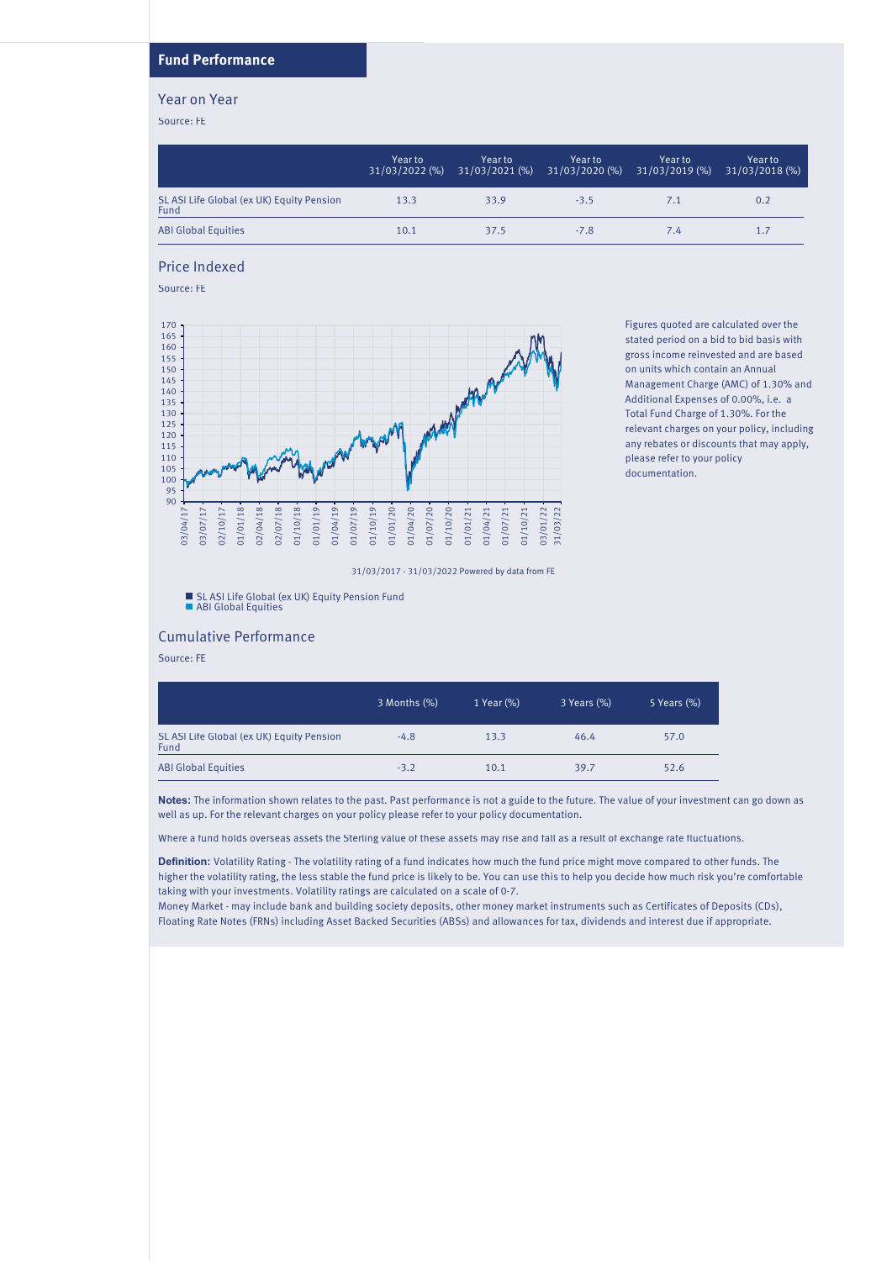#### **Fund Performance**

#### Year on Year

Source: FE

|                                                   | Year to<br>$31/03/2022$ (%) | Year to | Year to<br>$31/03/2021$ (%) $31/03/2020$ (%) | Year to<br>$31/03/2019$ (%) | Year to<br>31/03/2018 (%) |
|---------------------------------------------------|-----------------------------|---------|----------------------------------------------|-----------------------------|---------------------------|
| SL ASI Life Global (ex UK) Equity Pension<br>Fund | 13.3                        | 33.9    | $-3.5$                                       | 7.1                         | 0.2                       |
| <b>ABI Global Equities</b>                        | 10.1                        | 37.5    | $-7.8$                                       | 7.4                         | 1.7                       |

#### Price Indexed

Source: FE



Figures quoted are calculated over the stated period on a bid to bid basis with gross income reinvested and are based on units which contain an Annual Management Charge (AMC) of 1.30% and Additional Expenses of 0.00%, i.e. a Total Fund Charge of 1.30%. For the relevant charges on your policy, including any rebates or discounts that may apply, please refer to your policy documentation.

31/03/2017 - 31/03/2022 Powered by data from FE

SL ASI Life Global (ex UK) Equity Pension Fund ABI Global Equities

#### Cumulative Performance

Source: FE

|                                                   | 3 Months (%) | 1 Year (%) | 3 Years (%) | 5 Years (%) |
|---------------------------------------------------|--------------|------------|-------------|-------------|
| SL ASI Life Global (ex UK) Equity Pension<br>Fund | $-4.8$       | 13.3       | 46.4        | 57.0        |
| <b>ABI Global Equities</b>                        | $-3.2$       | 10.1       | 39.7        | 52.6        |

**Notes:** The information shown relates to the past. Past performance is not a guide to the future. The value of your investment can go down as well as up. For the relevant charges on your policy please refer to your policy documentation.

Where a fund holds overseas assets the Sterling value of these assets may rise and fall as a result of exchange rate fluctuations.

**Definition:** Volatility Rating - The volatility rating of a fund indicates how much the fund price might move compared to other funds. The higher the volatility rating, the less stable the fund price is likely to be. You can use this to help you decide how much risk you're comfortable taking with your investments. Volatility ratings are calculated on a scale of 0-7.

Money Market - may include bank and building society deposits, other money market instruments such as Certificates of Deposits (CDs), Floating Rate Notes (FRNs) including Asset Backed Securities (ABSs) and allowances for tax, dividends and interest due if appropriate.